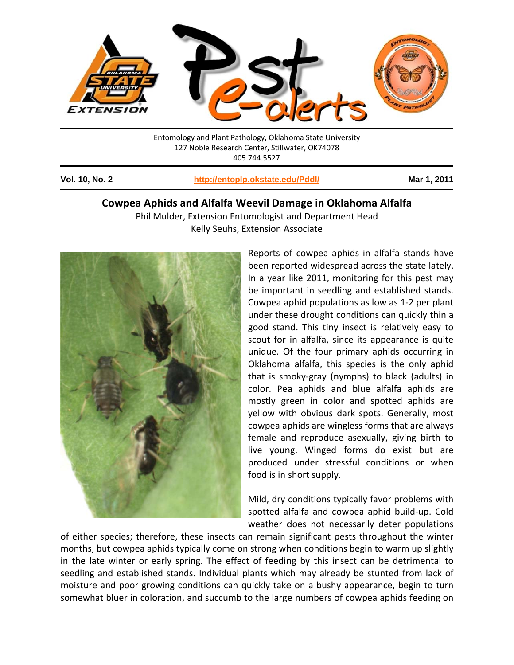

Entomology and Plant Pathology, Oklahoma State University 127 Noble Research Center, Stillwater, OK74078 405.744.5527

**Vol. 10, No. 2** 

http://entoplp.okstate.edu/Pddl/

Mar 1, 2011

## Cowpea Aphids and Alfalfa Weevil Damage in Oklahoma Alfalfa

Phil Mulder, Extension Entomologist and Department Head Kelly Seuhs, Extension Associate



Reports of cowpea aphids in alfalfa stands have been reported widespread across the state lately. In a year like 2011, monitoring for this pest may be important in seedling and established stands. Cowpea aphid populations as low as 1-2 per plant under these drought conditions can quickly thin a good stand. This tiny insect is relatively easy to scout for in alfalfa, since its appearance is quite unique. Of the four primary aphids occurring in Oklahoma alfalfa, this species is the only aphid that is smoky-gray (nymphs) to black (adults) in color. Pea aphids and blue alfalfa aphids are mostly green in color and spotted aphids are yellow with obvious dark spots. Generally, most cowpea aphids are wingless forms that are always female and reproduce asexually, giving birth to live young. Winged forms do exist but are produced under stressful conditions or when food is in short supply.

Mild, dry conditions typically favor problems with spotted alfalfa and cowpea aphid build-up. Cold weather does not necessarily deter populations

of either species; therefore, these insects can remain significant pests throughout the winter months, but cowpea aphids typically come on strong when conditions begin to warm up slightly in the late winter or early spring. The effect of feeding by this insect can be detrimental to seedling and established stands. Individual plants which may already be stunted from lack of moisture and poor growing conditions can quickly take on a bushy appearance, begin to turn somewhat bluer in coloration, and succumb to the large numbers of cowpea aphids feeding on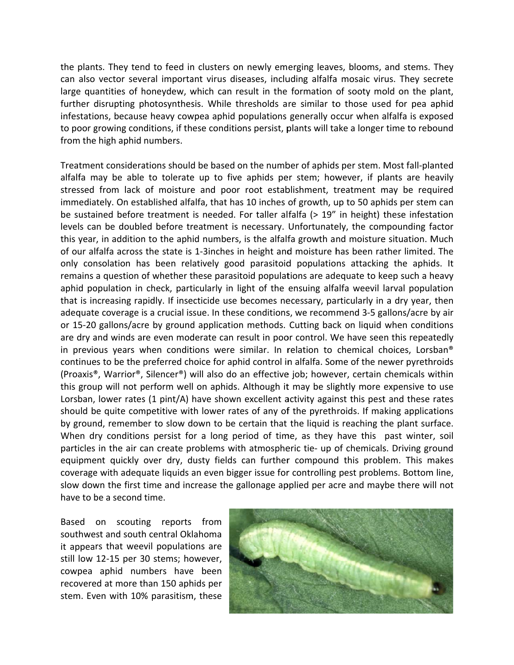the plants. They tend to feed in clusters on newly emerging leaves, blooms, and stems. They can also vector several important virus diseases, including alfalfa mosaic virus. They secrete large quantities of honeydew, which can result in the formation of sooty mold on the plant, further disrupting photosynthesis. While thresholds are similar to those used for pea aphid infestations, because heavy cowpea aphid populations generally occur when alfalfa is exposed to poor growing conditions, if these conditions persist, plants will take a longer time to rebound from the high aphid numbers.

Treatment considerations should be based on the number of aphids per stem. Most fall-planted alfalfa may be able to tolerate up to five aphids per stem; however, if plants are heavily stressed from lack of moisture and poor root establishment, treatment may be required immediately. On established alfalfa, that has 10 inches of growth, up to 50 aphids per stem can be sustained before treatment is needed. For taller alfalfa (> 19" in height) these infestation levels can be doubled before treatment is necessary. Unfortunately, the compounding factor this year, in addition to the aphid numbers, is the alfalfa growth and moisture situation. Much of our alfalfa across the state is 1-3 inches in height and moisture has been rather limited. The only consolation has been relatively good parasitoid populations attacking the aphids. It remains a question of whether these parasitoid populations are adequate to keep such a heavy aphid population in check, particularly in light of the ensuing alfalfa weevil larval population that is increasing rapidly. If insecticide use becomes necessary, particularly in a dry year, then adequate coverage is a crucial issue. In these conditions, we recommend 3-5 gallons/acre by air or 15-20 gallons/acre by ground application methods. Cutting back on liquid when conditions are dry and winds are even moderate can result in poor control. We have seen this repeatedly in previous years when conditions were similar. In relation to chemical choices, Lorsban® continues to be the preferred choice for aphid control in alfalfa. Some of the newer pyrethroids (Proaxis®, Warrior®, Silencer®) will also do an effective job; however, certain chemicals within this group will not perform well on aphids. Although it may be slightly more expensive to use Lorsban, lower rates (1 pint/A) have shown excellent activity against this pest and these rates should be quite competitive with lower rates of any of the pyrethroids. If making applications by ground, remember to slow down to be certain that the liquid is reaching the plant surface. When dry conditions persist for a long period of time, as they have this past winter, soil particles in the air can create problems with atmospheric tie- up of chemicals. Driving ground equipment quickly over dry, dusty fields can further compound this problem. This makes coverage with adequate liquids an even bigger issue for controlling pest problems. Bottom line, slow down the first time and increase the gallonage applied per acre and maybe there will not have to be a second time.

Based on scouting reports from southwest and south central Oklahoma it appears that weevil populations are still low 12-15 per 30 stems; however, cowpea aphid numbers have been recovered at more than 150 aphids per stem. Even with 10% parasitism, these